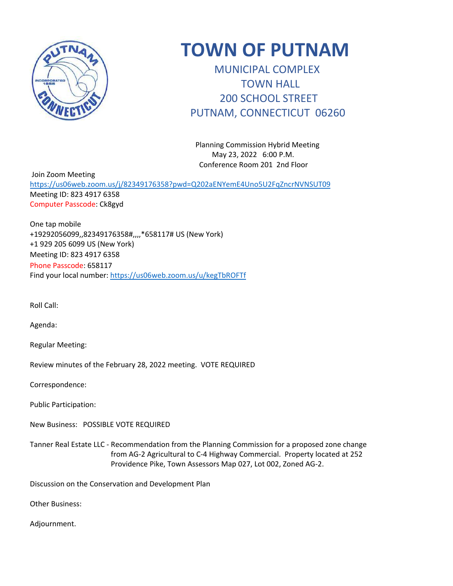

# **TOWN OF PUTNAM**

 MUNICIPAL COMPLEX TOWN HALL 200 SCHOOL STREET PUTNAM, CONNECTICUT 06260

 Planning Commission Hybrid Meeting May 23, 2022 6:00 P.M. Conference Room 201 2nd Floor

 Join Zoom Meeting <https://us06web.zoom.us/j/82349176358?pwd=Q202aENYemE4Uno5U2FqZncrNVNSUT09> Meeting ID: 823 4917 6358 Computer Passcode: Ck8gyd

One tap mobile +19292056099,,82349176358#,,,,\*658117# US (New York) +1 929 205 6099 US (New York) Meeting ID: 823 4917 6358 Phone Passcode: 658117 Find your local number:<https://us06web.zoom.us/u/kegTbROFTf>

Roll Call:

Agenda:

Regular Meeting:

Review minutes of the February 28, 2022 meeting. VOTE REQUIRED

Correspondence:

Public Participation:

New Business: POSSIBLE VOTE REQUIRED

Tanner Real Estate LLC - Recommendation from the Planning Commission for a proposed zone change from AG-2 Agricultural to C-4 Highway Commercial. Property located at 252 Providence Pike, Town Assessors Map 027, Lot 002, Zoned AG-2.

Discussion on the Conservation and Development Plan

Other Business:

Adjournment.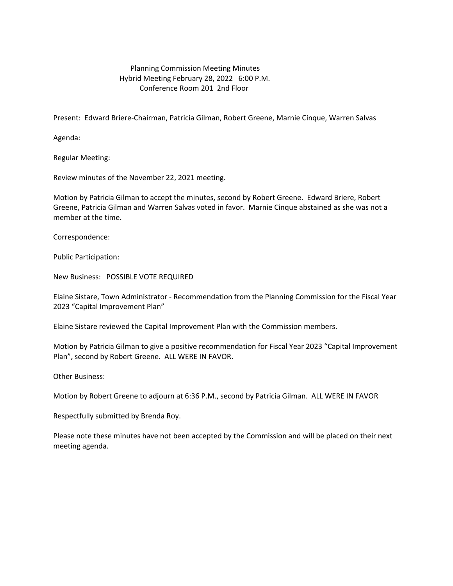## Planning Commission Meeting Minutes Hybrid Meeting February 28, 2022 6:00 P.M. Conference Room 201 2nd Floor

Present: Edward Briere-Chairman, Patricia Gilman, Robert Greene, Marnie Cinque, Warren Salvas

Agenda:

Regular Meeting:

Review minutes of the November 22, 2021 meeting.

Motion by Patricia Gilman to accept the minutes, second by Robert Greene. Edward Briere, Robert Greene, Patricia Gilman and Warren Salvas voted in favor. Marnie Cinque abstained as she was not a member at the time.

Correspondence:

Public Participation:

New Business: POSSIBLE VOTE REQUIRED

Elaine Sistare, Town Administrator - Recommendation from the Planning Commission for the Fiscal Year 2023 "Capital Improvement Plan"

Elaine Sistare reviewed the Capital Improvement Plan with the Commission members.

Motion by Patricia Gilman to give a positive recommendation for Fiscal Year 2023 "Capital Improvement Plan", second by Robert Greene. ALL WERE IN FAVOR.

Other Business:

Motion by Robert Greene to adjourn at 6:36 P.M., second by Patricia Gilman. ALL WERE IN FAVOR

Respectfully submitted by Brenda Roy.

Please note these minutes have not been accepted by the Commission and will be placed on their next meeting agenda.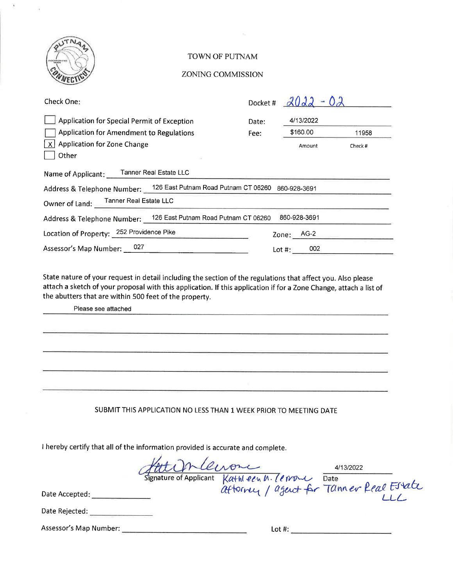

### TOWN OF PUTNAM

#### ZONING COMMISSION

| Check One:                                                                                                   | Docket # |              |        |
|--------------------------------------------------------------------------------------------------------------|----------|--------------|--------|
| Application for Special Permit of Exception                                                                  | Date:    | 4/13/2022    |        |
| <b>Application for Amendment to Regulations</b>                                                              | Fee:     | \$160.00     | 11958  |
| <b>Application for Zone Change</b><br>$\mathsf{X}$<br>Other                                                  |          | Amount       | Check# |
| Name of Applicant: Tanner Real Estate LLC                                                                    |          |              |        |
| Address & Telephone Number: 126 East Putnam Road Putnam CT 06260                                             |          | 860-928-3691 |        |
| Owner of Land: Tanner Real Estate LLC                                                                        |          |              |        |
| Address & Telephone Number: 126 East Putnam Road Putnam CT 06260                                             |          | 860-928-3691 |        |
| Location of Property: 252 Providence Pike                                                                    |          | Zone: AG-2   |        |
| Assessor's Map Number: 027                                                                                   |          | Lot #: $002$ |        |
| State nature of your request in datail including the section of the requistions that effect you. Also please |          |              |        |

State nature of your request in detail including the section of the regulations that affect you. Also please attach a sketch of your proposal with this application. If this application if for a Zone Change, attach a list of the abutters that are within 500 feet of the property.

Please see attached

SUBMIT THIS APPLICATION NO LESS THAN 1 WEEK PRIOR TO MEETING DATE

I hereby certify that all of the information provided is accurate and complete.

Herrien de la Comme de la 113/2022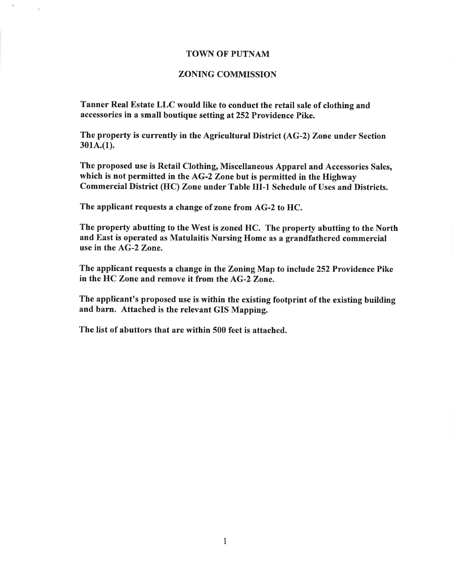## **TOWN OF PUTNAM**

## **ZONING COMMISSION**

Tanner Real Estate LLC would like to conduct the retail sale of clothing and accessories in a small boutique setting at 252 Providence Pike.

The property is currently in the Agricultural District (AG-2) Zone under Section  $301A(1).$ 

The proposed use is Retail Clothing, Miscellaneous Apparel and Accessories Sales, which is not permitted in the AG-2 Zone but is permitted in the Highway Commercial District (HC) Zone under Table III-1 Schedule of Uses and Districts.

The applicant requests a change of zone from AG-2 to HC.

×,

The property abutting to the West is zoned HC. The property abutting to the North and East is operated as Matulaitis Nursing Home as a grandfathered commercial use in the AG-2 Zone.

The applicant requests a change in the Zoning Map to include 252 Providence Pike in the HC Zone and remove it from the AG-2 Zone.

The applicant's proposed use is within the existing footprint of the existing building and barn. Attached is the relevant GIS Mapping.

The list of abuttors that are within 500 feet is attached.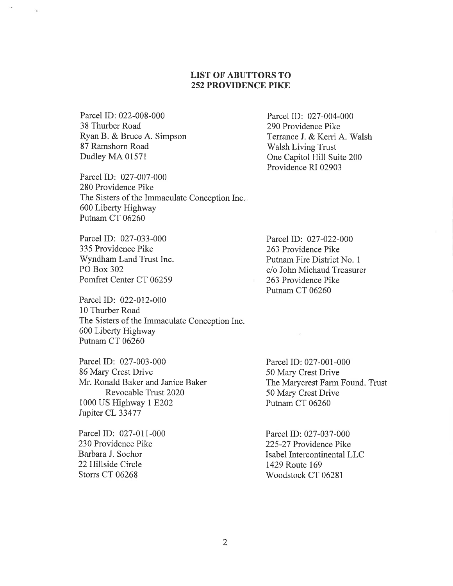# **LIST OF ABUTTORS TO 252 PROVIDENCE PIKE**

Parcel ID: 022-008-000 38 Thurber Road Ryan B. & Bruce A. Simpson 87 Ramshorn Road Dudley MA 01571

Parcel ID: 027-007-000 280 Providence Pike The Sisters of the Immaculate Conception Inc. 600 Liberty Highway Putnam CT 06260

Parcel ID: 027-033-000 335 Providence Pike Wyndham Land Trust Inc. PO Box 302 Pomfret Center CT 06259

Parcel ID: 022-012-000 10 Thurber Road The Sisters of the Immaculate Conception Inc. 600 Liberty Highway Putnam CT 06260

Parcel ID: 027-003-000 86 Mary Crest Drive Mr. Ronald Baker and Janice Baker Revocable Trust 2020 1000 US Highway 1 E202 Jupiter CL 33477

Parcel ID: 027-011-000 230 Providence Pike Barbara J. Sochor 22 Hillside Circle Storrs CT 06268

Parcel ID: 027-004-000 290 Providence Pike Terrance J. & Kerri A. Walsh **Walsh Living Trust** One Capitol Hill Suite 200 Providence RI 02903

Parcel ID: 027-022-000 263 Providence Pike Putnam Fire District No. 1 c/o John Michaud Treasurer 263 Providence Pike Putnam CT 06260

Parcel ID: 027-001-000 50 Mary Crest Drive The Marycrest Farm Found. Trust 50 Mary Crest Drive Putnam CT 06260

Parcel ID: 027-037-000 225-27 Providence Pike Isabel Intercontinental LLC 1429 Route 169 Woodstock CT 06281